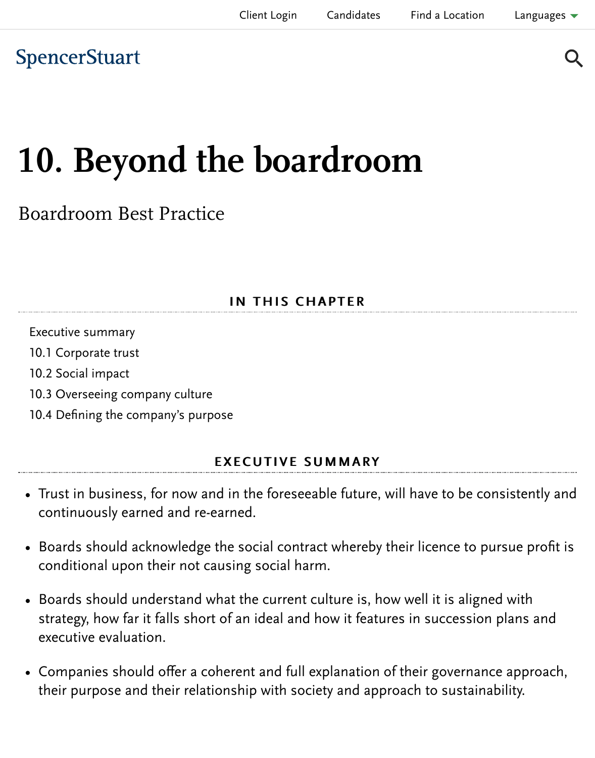# [10. Beyon](https://www.spencerstuart.com/)d the boardroom

### Boardroom Best Practice

#### IN THIS CHAPTER

Executive summary 10.1 Corporate trust 10.2 Social impact 10.3 Overseeing company culture 10.4 Defining the company's purpose

#### **EXECUTIVE SUMMARY**

- [Trust in business, for now an](#page-2-0)d in the foreseeable future, will have to be cons [continuously earned and re-earn](#page-4-0)ed.
- Boards should acknowledge the social contract whereby their licence to purs conditional upon their not causing social harm.
- Boards should understand what the current culture is, how well it is aligned strategy, how far it falls short of an ideal and how it features in succession p executive evaluation.
- Companies should offer a coherent and full explanation of their governance their purpose and their relationship with society and approach to sustainabi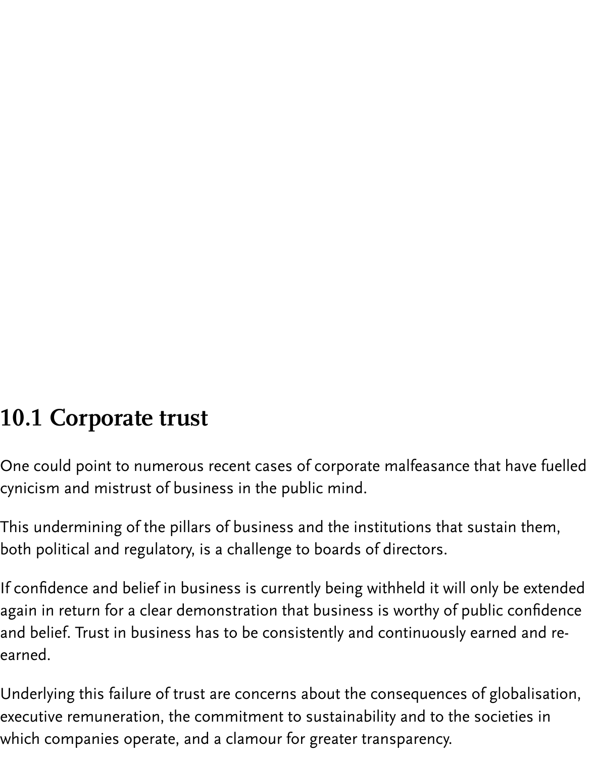### 10.1 Corporate trust

One could point to numerous recent cases of corporate malfeasance that have fuelled cynicism and mistrust of business in the public mind.

This undermining of the pillars of business and the institutions that sustain them, both political and regulatory, is a challenge to boards of directors.

If confidence and belief in business is currently being withheld it will only be extended again in return for a clear demonstration that business is worthy of public confidence and belief. Trust in business has to be consistently and continuously earned and reearned.

Underlying this failure of trust are concerns about the consequences of globalisation, executive remuneration, the commitment to sustainability and to the societies in which companies operate, and a clamour for greater transparency.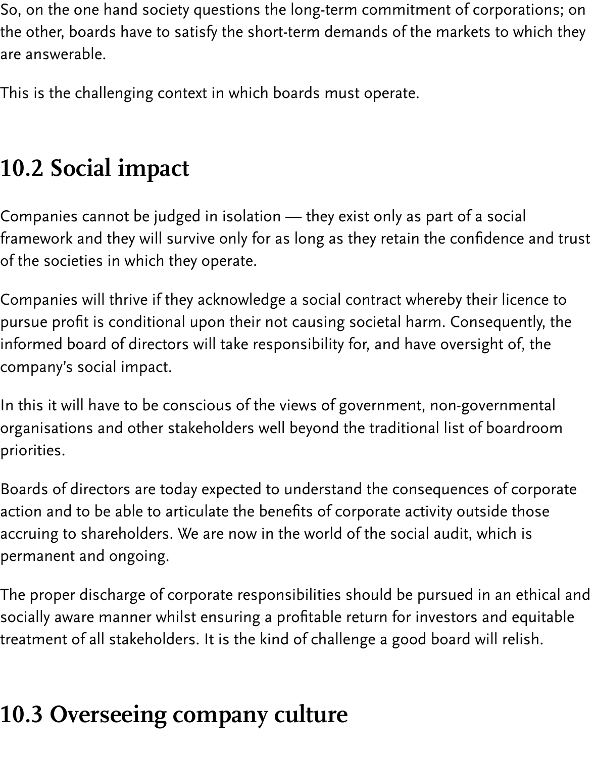So, on the one hand society questions the long-term commitment of corporations; on the other, boards have to satisfy the short-term demands of the markets to which they are answerable.

This is the challenging context in which boards must operate.

### 10.2 Social impact

Companies cannot be judged in isolation — they exist only as part of a social framework and they will survive only for as long as they retain the confidence and trust of the societies in which they operate.

Companies will thrive if they acknowledge a social contract whereby their licence to pursue profit is conditional upon their not causing societal harm. Consequently, the informed board of directors will take responsibility for, and have oversight of, the company's social impact.

In this it will have to be conscious of the views of government, non-governmental organisations and other stakeholders well beyond the traditional list of boardroom priorities.

Boards of directors are today expected to understand the consequences of corporate action and to be able to articulate the benefits of corporate activity outside those accruing to shareholders. We are now in the world of the social audit, which is permanent and ongoing.

The proper discharge of corporate responsibilities should be pursued in an ethical and socially aware manner whilst ensuring a profitable return for investors and equitable treatment of all stakeholders. It is the kind of challenge a good board will relish.

## <span id="page-2-0"></span>10.3 Overseeing company culture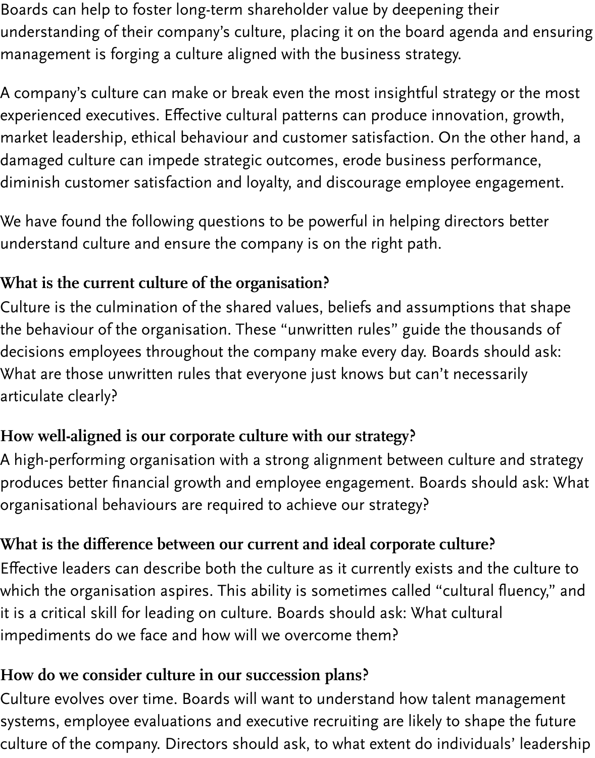Boards can help to foster long-term shareholder value by deepening their understanding of their company's culture, placing it on the board agenda and ensuring management is forging a culture aligned with the business strategy.

A company's culture can make or break even the most insightful strategy or the most experienced executives. Effective cultural patterns can produce innovation, growth, market leadership, ethical behaviour and customer satisfaction. On the other hand, a damaged culture can impede strategic outcomes, erode business performance, diminish customer satisfaction and loyalty, and discourage employee engagement.

We have found the following questions to be powerful in helping directors better understand culture and ensure the company is on the right path.

### What is the current culture of the organisation?

Culture is the culmination of the shared values, beliefs and assumptions that shape the behaviour of the organisation. These "unwritten rules" guide the thousands of decisions employees throughout the company make every day. Boards should ask: What are those unwritten rules that everyone just knows but can't necessarily articulate clearly?

#### How well-aligned is our corporate culture with our strategy?

A high-performing organisation with a strong alignment between culture and strategy produces better financial growth and employee engagement. Boards should ask: What organisational behaviours are required to achieve our strategy?

#### What is the difference between our current and ideal corporate culture?

Effective leaders can describe both the culture as it currently exists and the culture to which the organisation aspires. This ability is sometimes called "cultural fluency," and it is a critical skill for leading on culture. Boards should ask: What cultural impediments do we face and how will we overcome them?

#### How do we consider culture in our succession plans?

Culture evolves over time. Boards will want to understand how talent management systems, employee evaluations and executive recruiting are likely to shape the future culture of the company. Directors should ask, to what extent do individuals' leadership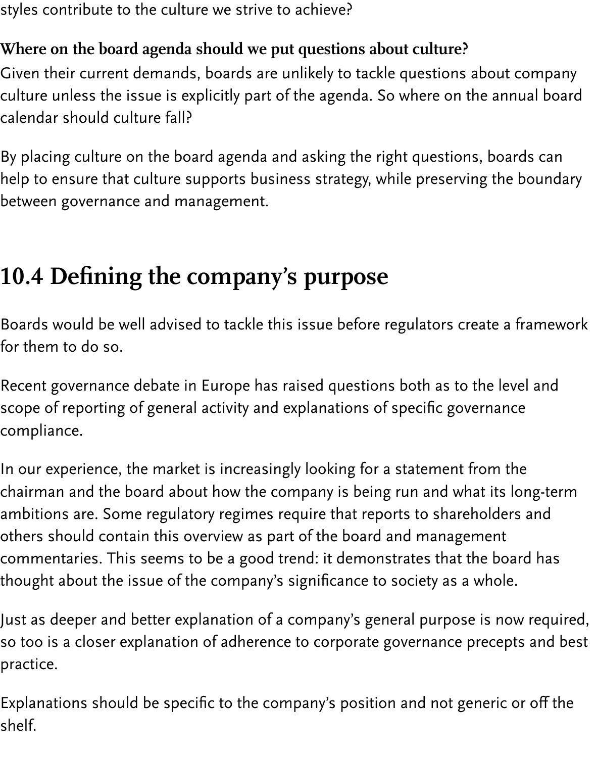styles contribute to the culture we strive to achieve?

### Where on the board agenda should we put questions about culture?

Given their current demands, boards are unlikely to tackle questions about company culture unless the issue is explicitly part of the agenda. So where on the annual board calendar should culture fall?

By placing culture on the board agenda and asking the right questions, boards can help to ensure that culture supports business strategy, while preserving the boundary between governance and management.

### <span id="page-4-0"></span>10.4 Defining the company's purpose

Boards would be well advised to tackle this issue before regulators create a framework for them to do so.

Recent governance debate in Europe has raised questions both as to the level and scope of reporting of general activity and explanations of specific governance compliance.

In our experience, the market is increasingly looking for a statement from the chairman and the board about how the company is being run and what its long-term ambitions are. Some regulatory regimes require that reports to shareholders and others should contain this overview as part of the board and management commentaries. This seems to be a good trend: it demonstrates that the board has thought about the issue of the company's significance to society as a whole.

Just as deeper and better explanation of a company's general purpose is now required, so too is a closer explanation of adherence to corporate governance precepts and best practice.

Explanations should be specific to the company's position and not generic or off the shelf.